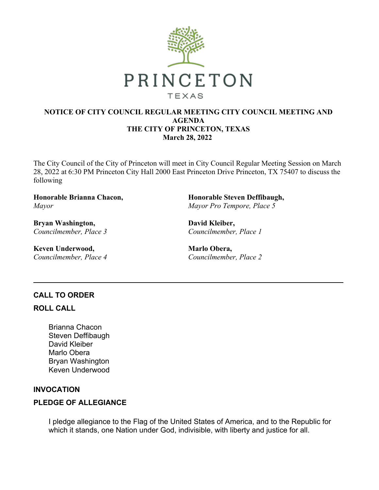

## **NOTICE OF CITY COUNCIL REGULAR MEETING CITY COUNCIL MEETING AND AGENDA THE CITY OF PRINCETON, TEXAS March 28, 2022**

The City Council of the City of Princeton will meet in City Council Regular Meeting Session on March 28, 2022 at 6:30 PM Princeton City Hall 2000 East Princeton Drive Princeton, TX 75407 to discuss the following

**Honorable Brianna Chacon,** *Mayor*

**Bryan Washington,** *Councilmember, Place 3*

**Keven Underwood,** *Councilmember, Place 4* **Honorable Steven Deffibaugh,** *Mayor Pro Tempore, Place 5*

**David Kleiber,** *Councilmember, Place 1*

**Marlo Obera,** *Councilmember, Place 2*

# **CALL TO ORDER**

#### **ROLL CALL**

Brianna Chacon Steven Deffibaugh David Kleiber Marlo Obera Bryan Washington Keven Underwood

## **INVOCATION**

## **PLEDGE OF ALLEGIANCE**

I pledge allegiance to the Flag of the United States of America, and to the Republic for which it stands, one Nation under God, indivisible, with liberty and justice for all.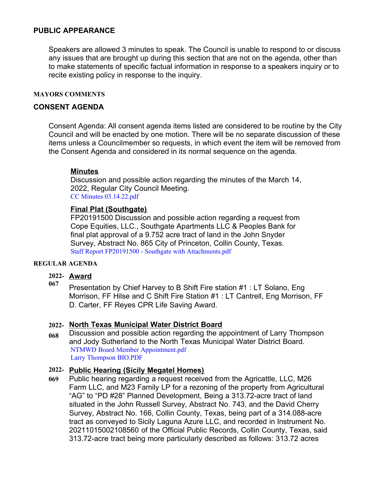### **PUBLIC APPEARANCE**

Speakers are allowed 3 minutes to speak. The Council is unable to respond to or discuss any issues that are brought up during this section that are not on the agenda, other than to make statements of specific factual information in response to a speakers inquiry or to recite existing policy in response to the inquiry.

#### **MAYORS COMMENTS**

## **CONSENT AGENDA**

Consent Agenda: All consent agenda items listed are considered to be routine by the City Council and will be enacted by one motion. There will be no separate discussion of these items unless a Councilmember so requests, in which event the item will be removed from the Consent Agenda and considered in its normal sequence on the agenda.

### **Minutes**

Discussion and possible action regarding the minutes of the March 14, 2022, Regular City Council Meeting. [CC Minutes 03.14.22.pdf](https://legistarweb-production.s3.amazonaws.com/uploads/attachment/pdf/1298652/CC_Minutes_03.14.22.pdf)

### **Final Plat (Southgate)**

FP20191500 Discussion and possible action regarding a request from Cope Equities, LLC., Southgate Apartments LLC & Peoples Bank for final plat approval of a 9.752 acre tract of land in the John Snyder Survey, Abstract No. 865 City of Princeton, Collin County, Texas. [Staff Report FP20191500 - Southgate with Attachments.pdf](https://legistarweb-production.s3.amazonaws.com/uploads/attachment/pdf/1299007/Staff_Report_FP20191500_-_Southgate_with_Attachments.pdf)

#### **REGULAR AGENDA**

#### **2022- Award 067**

Presentation by Chief Harvey to B Shift Fire station #1 : LT Solano, Eng Morrison, FF Hilse and C Shift Fire Station #1 : LT Cantrell, Eng Morrison, FF D. Carter, FF Reyes CPR Life Saving Award.

#### **2022- North Texas Municipal Water District Board**

**068** Discussion and possible action regarding the appointment of Larry Thompson and Jody Sutherland to the North Texas Municipal Water District Board. [NTMWD Board Member Appointment.pdf](https://legistarweb-production.s3.amazonaws.com/uploads/attachment/pdf/1301807/NTMWD_Board_Member_Appointment.pdf) [Larry Thompson BIO.PDF](https://legistarweb-production.s3.amazonaws.com/uploads/attachment/pdf/1301829/Larry_Thompson_BIO.PDF)

#### **2022- Public Hearing (Sicily Megatel Homes)**

**069** Public hearing regarding a request received from the Agricattle, LLC, M26 Farm LLC, and M23 Family LP for a rezoning of the property from Agricultural "AG" to "PD #28" Planned Development, Being a 313.72-acre tract of land situated in the John Russell Survey, Abstract No. 743, and the David Cherry Survey, Abstract No. 166, Collin County, Texas, being part of a 314.088-acre tract as conveyed to Sicily Laguna Azure LLC, and recorded in Instrument No. 20211015002108560 of the Official Public Records, Collin County, Texas, said 313.72-acre tract being more particularly described as follows: 313.72 acres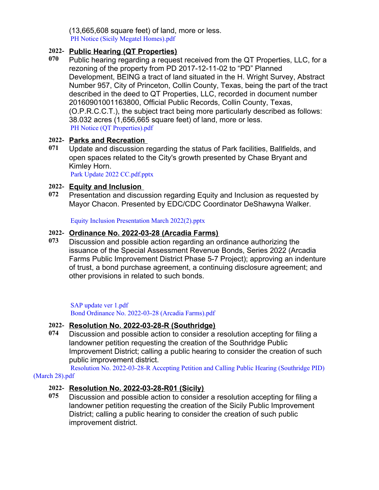(13,665,608 square feet) of land, more or less. [PH Notice \(Sicily Megatel Homes\).pdf](https://legistarweb-production.s3.amazonaws.com/uploads/attachment/pdf/1298196/PH_Notice__Sicily_Megatel_Homes_.pdf)

## **2022- Public Hearing (QT Properties)**

**070** Public hearing regarding a request received from the QT Properties, LLC, for a rezoning of the property from PD 2017-12-11-02 to "PD" Planned Development, BEING a tract of land situated in the H. Wright Survey, Abstract Number 957, City of Princeton, Collin County, Texas, being the part of the tract described in the deed to QT Properties, LLC, recorded in document number 20160901001163800, Official Public Records, Collin County, Texas, (O.P.R.C.C.T.), the subject tract being more particularly described as follows: 38.032 acres (1,656,665 square feet) of land, more or less. [PH Notice \(QT Properties\).pdf](https://legistarweb-production.s3.amazonaws.com/uploads/attachment/pdf/1298195/PH_Notice__QT_Properties_.pdf)

## **2022- Parks and Recreation**

**071** Update and discussion regarding the status of Park facilities, Ballfields, and open spaces related to the City's growth presented by Chase Bryant and Kimley Horn.

[Park Update 2022 CC.pdf.pptx](https://legistarweb-production.s3.amazonaws.com/uploads/attachment/pdf/1299095/Park_Update_2022_CC.pdf.pdf)

## **2022- Equity and Inclusion**

**072** Presentation and discussion regarding Equity and Inclusion as requested by Mayor Chacon. Presented by EDC/CDC Coordinator DeShawyna Walker.

[Equity Inclusion Presentation March 2022\(2\).pptx](https://legistarweb-production.s3.amazonaws.com/uploads/attachment/pdf/1301798/Equity_Inclusion_Presentation_March_2022_2_.pdf)

## **2022- Ordinance No. 2022-03-28 (Arcadia Farms)**

**073** Discussion and possible action regarding an ordinance authorizing the issuance of the Special Assessment Revenue Bonds, Series 2022 (Arcadia Farms Public Improvement District Phase 5-7 Project); approving an indenture of trust, a bond purchase agreement, a continuing disclosure agreement; and other provisions in related to such bonds.

[SAP update ver 1.pdf](https://legistarweb-production.s3.amazonaws.com/uploads/attachment/pdf/1302686/SAP_update_ver_1.pdf) [Bond Ordinance No. 2022-03-28 \(Arcadia Farms\).pdf](https://legistarweb-production.s3.amazonaws.com/uploads/attachment/pdf/1298583/Bond_Ordinance_No._2022-03-28___Arcadia_Farms_.pdf)

# **2022- Resolution No. 2022-03-28-R (Southridge)**

**074** Discussion and possible action to consider a resolution accepting for filing a landowner petition requesting the creation of the Southridge Public Improvement District; calling a public hearing to consider the creation of such public improvement district.

[Resolution No. 2022-03-28-R Accepting Petition and Calling Public Hearing \(Southridge PID\)](https://legistarweb-production.s3.amazonaws.com/uploads/attachment/pdf/1298587/Resolution_No._2022-03-28-R_Accepting_Petition_and_Calling_Public_Hearing__Southridge_PID___March_28_.pdf) (March 28).pdf

# **2022- Resolution No. 2022-03-28-R01 (Sicily)**

**075** Discussion and possible action to consider a resolution accepting for filing a landowner petition requesting the creation of the Sicily Public Improvement District; calling a public hearing to consider the creation of such public improvement district.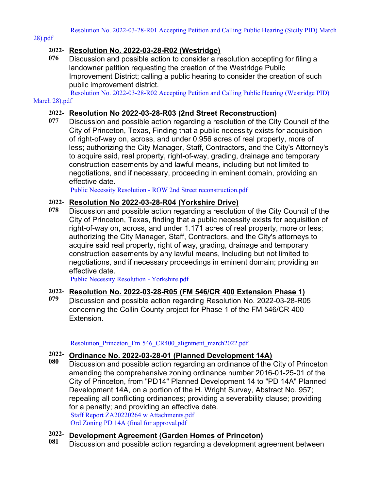28).pdf

## **2022- Resolution No. 2022-03-28-R02 (Westridge)**

**076** Discussion and possible action to consider a resolution accepting for filing a landowner petition requesting the creation of the Westridge Public Improvement District; calling a public hearing to consider the creation of such public improvement district.

[Resolution No. 2022-03-28-R02 Accepting Petition and Calling Public Hearing \(Westridge PID\)](https://legistarweb-production.s3.amazonaws.com/uploads/attachment/pdf/1301431/Resolution_No._2022-03-28-R02_Accepting_Petition_and_Calling_Public_Hearing__Westridge_PID__March_28_.pdf)

#### March 28).pdf

#### **2022- Resolution No 2022-03-28-R03 (2nd Street Reconstruction)**

**077** Discussion and possible action regarding a resolution of the City Council of the City of Princeton, Texas, Finding that a public necessity exists for acquisition of right-of-way on, across, and under 0.956 acres of real property, more of less; authorizing the City Manager, Staff, Contractors, and the City's Attorney's to acquire said, real property, right-of-way, grading, drainage and temporary construction easements by and lawful means, including but not limited to negotiations, and if necessary, proceeding in eminent domain, providing an effective date.

[Public Necessity Resolution - ROW 2nd Street reconstruction.pdf](https://legistarweb-production.s3.amazonaws.com/uploads/attachment/pdf/1301056/Public_Necessity_Resolution_-_ROW_2nd_Street_reconstruction.pdf)

### **2022- Resolution No 2022-03-28-R04 (Yorkshire Drive)**

**078** Discussion and possible action regarding a resolution of the City Council of the City of Princeton, Texas, finding that a public necessity exists for acquisition of right-of-way on, across, and under 1.171 acres of real property, more or less; authorizing the City Manager, Staff, Contractors, and the City's attorneys to acquire said real property, right of way, grading, drainage and temporary construction easements by any lawful means, Including but not limited to negotiations, and if necessary proceedings in eminent domain; providing an effective date.

[Public Necessity Resolution - Yorkshire.pdf](https://legistarweb-production.s3.amazonaws.com/uploads/attachment/pdf/1302320/Public_Necessity_Resolution_-_Yorkshire.pdf)

## **2022- Resolution No. 2022-03-28-R05 (FM 546/CR 400 Extension Phase 1)**

**079** Discussion and possible action regarding Resolution No. 2022-03-28-R05 concerning the Collin County project for Phase 1 of the FM 546/CR 400 Extension.

Resolution Princeton Fm 546 CR400 alignment march2022.pdf

# **2022- Ordinance No. 2022-03-28-01 (Planned Development 14A)**

**080** Discussion and possible action regarding an ordinance of the City of Princeton amending the comprehensive zoning ordinance number 2016-01-25-01 of the City of Princeton, from "PD14" Planned Development 14 to "PD 14A" Planned Development 14A, on a portion of the H. Wright Survey, Abstract No. 957; repealing all conflicting ordinances; providing a severability clause; providing for a penalty; and providing an effective date. [Staff Report ZA20220264 w Attachments.pdf](https://legistarweb-production.s3.amazonaws.com/uploads/attachment/pdf/1299011/Staff_Report_ZA20220264_w_Attachments.pdf) [Ord Zoning PD 14A \(final for approval.pdf](https://legistarweb-production.s3.amazonaws.com/uploads/attachment/pdf/1302178/Ord_Zoning_PD_14A__final_for_approval_.pdf)

#### **2022- Development Agreement (Garden Homes of Princeton)**

**081** Discussion and possible action regarding a development agreement between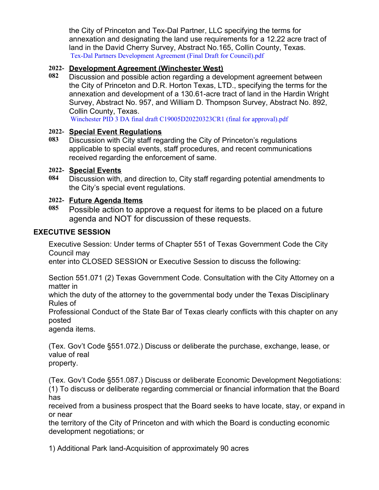the City of Princeton and Tex-Dal Partner, LLC specifying the terms for annexation and designating the land use requirements for a 12.22 acre tract of land in the David Cherry Survey, Abstract No.165, Collin County, Texas. [Tex-Dal Partners Development Agreement \(Final Draft for Council\).pdf](https://legistarweb-production.s3.amazonaws.com/uploads/attachment/pdf/1302170/Tex-Dal_Partners_Development_Agreement__Final_Draft_for_Council_.pdf)

# **2022- Development Agreement (Winchester West)**

**082** Discussion and possible action regarding a development agreement between the City of Princeton and D.R. Horton Texas, LTD., specifying the terms for the annexation and development of a 130.61-acre tract of land in the Hardin Wright Survey, Abstract No. 957, and William D. Thompson Survey, Abstract No. 892, Collin County, Texas.

[Winchester PID 3 DA final draft C19005D20220323CR1 \(final for approval\).pdf](https://legistarweb-production.s3.amazonaws.com/uploads/attachment/pdf/1300270/Winchester_PID_3_DA_final_draft_C19005D20220323CR1__final_for_approval_.pdf)

# **2022- Special Event Regulations**

**083** Discussion with City staff regarding the City of Princeton's regulations applicable to special events, staff procedures, and recent communications received regarding the enforcement of same.

# **2022- Special Events**

**084** Discussion with, and direction to, City staff regarding potential amendments to the City's special event regulations.

# **2022- Future Agenda Items**

**085** Possible action to approve a request for items to be placed on a future agenda and NOT for discussion of these requests.

# **EXECUTIVE SESSION**

Executive Session: Under terms of Chapter 551 of Texas Government Code the City Council may

enter into CLOSED SESSION or Executive Session to discuss the following:

Section 551.071 (2) Texas Government Code. Consultation with the City Attorney on a matter in

which the duty of the attorney to the governmental body under the Texas Disciplinary Rules of

Professional Conduct of the State Bar of Texas clearly conflicts with this chapter on any posted

agenda items.

(Tex. Gov't Code §551.072.) Discuss or deliberate the purchase, exchange, lease, or value of real property.

(Tex. Gov't Code §551.087.) Discuss or deliberate Economic Development Negotiations: (1) To discuss or deliberate regarding commercial or financial information that the Board has

received from a business prospect that the Board seeks to have locate, stay, or expand in or near

the territory of the City of Princeton and with which the Board is conducting economic development negotiations; or

1) Additional Park land-Acquisition of approximately 90 acres